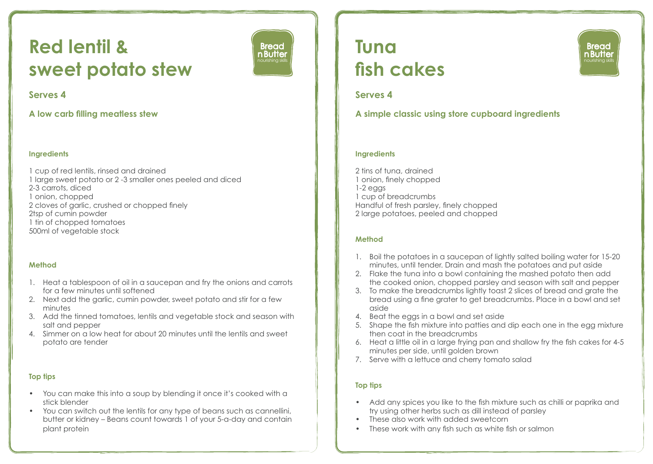# **Red lentil & sweet potato stew**



### **Serves 4**

**A low carb filling meatless stew** 

### **Ingredients**

1 cup of red lentils, rinsed and drained 1 large sweet potato or 2 -3 smaller ones peeled and diced 2-3 carrots, diced 1 onion, chopped 2 cloves of garlic, crushed or chopped finely 2tsp of cumin powder 1 tin of chopped tomatoes 500ml of vegetable stock

### **Method**

- 1. Heat a tablespoon of oil in a saucepan and fry the onions and carrots for a few minutes until softened
- 2. Next add the garlic, cumin powder, sweet potato and stir for a few minutes
- 3. Add the tinned tomatoes, lentils and vegetable stock and season with salt and pepper
- 4. Simmer on a low heat for about 20 minutes until the lentils and sweet potato are tender

### **Top tips**

- You can make this into a soup by blending it once it's cooked with a stick blender
- You can switch out the lentils for any type of beans such as cannellini, butter or kidney – Beans count towards 1 of your 5-a-day and contain plant protein

## **Tuna fish cakes**



## **Serves 4**

**A simple classic using store cupboard ingredients** 

### **Ingredients**

2 tins of tuna, drained 1 onion, finely chopped 1-2 eggs 1 cup of breadcrumbs Handful of fresh parsley, finely chopped 2 large potatoes, peeled and chopped

### **Method**

- 1. Boil the potatoes in a saucepan of lightly salted boiling water for 15-20 minutes, until tender. Drain and mash the potatoes and put aside
- 2. Flake the tuna into a bowl containing the mashed potato then add the cooked onion, chopped parsley and season with salt and pepper
- 3. To make the breadcrumbs lightly toast 2 slices of bread and grate the bread using a fine grater to get breadcrumbs. Place in a bowl and set aside
- 4. Beat the eggs in a bowl and set aside
- 5. Shape the fish mixture into patties and dip each one in the egg mixture then coat in the breadcrumbs
- 6. Heat a little oil in a large frying pan and shallow fry the fish cakes for 4-5 minutes per side, until golden brown
- 7. Serve with a lettuce and cherry tomato salad

### **Top tips**

- Add any spices you like to the fish mixture such as chilli or paprika and try using other herbs such as dill instead of parsley
- These also work with added sweetcorn
- These work with any fish such as white fish or salmon